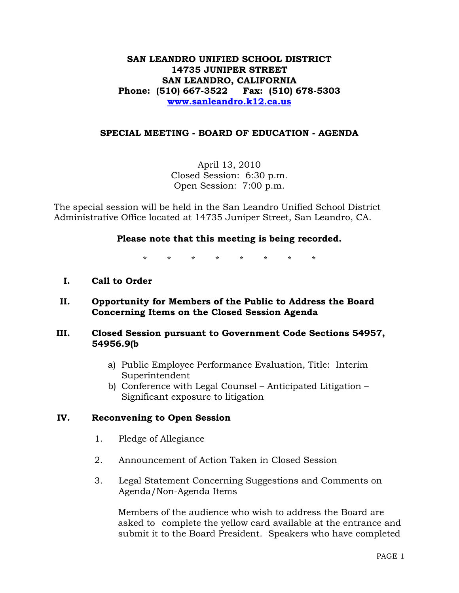# **SAN LEANDRO UNIFIED SCHOOL DISTRICT 14735 JUNIPER STREET SAN LEANDRO, CALIFORNIA Phone: (510) 667-3522 Fax: (510) 678-5303 [www.sanleandro.k12.ca.us](http://www.sanleandro.k12.ca.us/)**

### **SPECIAL MEETING - BOARD OF EDUCATION - AGENDA**

April 13, 2010 Closed Session: 6:30 p.m. Open Session: 7:00 p.m.

The special session will be held in the San Leandro Unified School District Administrative Office located at 14735 Juniper Street, San Leandro, CA.

#### **Please note that this meeting is being recorded.**

\* \* \* \* \* \* \* \*

- **I. Call to Order**
- **II. Opportunity for Members of the Public to Address the Board Concerning Items on the Closed Session Agenda**

#### **III. Closed Session pursuant to Government Code Sections 54957, 54956.9(b**

- a) Public Employee Performance Evaluation, Title: Interim Superintendent
- b) Conference with Legal Counsel Anticipated Litigation Significant exposure to litigation

#### **IV. Reconvening to Open Session**

- 1. Pledge of Allegiance
- 2. Announcement of Action Taken in Closed Session
- 3. Legal Statement Concerning Suggestions and Comments on Agenda/Non-Agenda Items

 Members of the audience who wish to address the Board are asked to complete the yellow card available at the entrance and submit it to the Board President. Speakers who have completed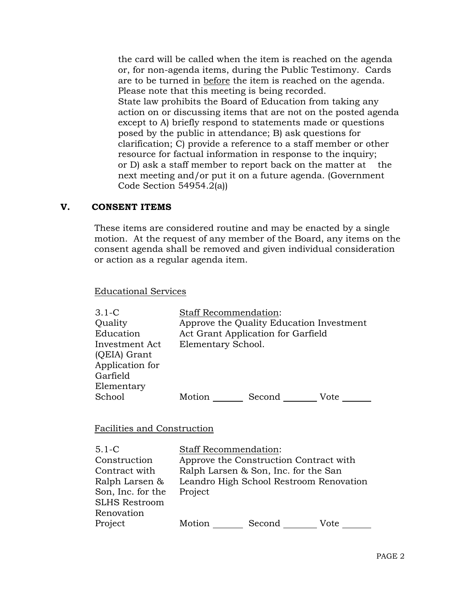the card will be called when the item is reached on the agenda or, for non-agenda items, during the Public Testimony. Cards are to be turned in before the item is reached on the agenda. Please note that this meeting is being recorded. State law prohibits the Board of Education from taking any action on or discussing items that are not on the posted agenda except to A) briefly respond to statements made or questions posed by the public in attendance; B) ask questions for clarification; C) provide a reference to a staff member or other resource for factual information in response to the inquiry; or D) ask a staff member to report back on the matter at the next meeting and/or put it on a future agenda. (Government Code Section 54954.2(a))

### **V. CONSENT ITEMS**

These items are considered routine and may be enacted by a single motion. At the request of any member of the Board, any items on the consent agenda shall be removed and given individual consideration or action as a regular agenda item.

Educational Services

| $3.1 - C$       | <b>Staff Recommendation:</b>             |
|-----------------|------------------------------------------|
| Quality         | Approve the Quality Education Investment |
| Education       | Act Grant Application for Garfield       |
| Investment Act  | Elementary School.                       |
| (QEIA) Grant    |                                          |
| Application for |                                          |
| Garfield        |                                          |
| Elementary      |                                          |
| School          | Motion<br>Second<br>Vote                 |

Facilities and Construction

| $5.1 - C$            | <b>Staff Recommendation:</b> |                                         |      |
|----------------------|------------------------------|-----------------------------------------|------|
| Construction         |                              | Approve the Construction Contract with  |      |
| Contract with        |                              | Ralph Larsen & Son, Inc. for the San    |      |
| Ralph Larsen &       |                              | Leandro High School Restroom Renovation |      |
| Son, Inc. for the    | Project                      |                                         |      |
| <b>SLHS Restroom</b> |                              |                                         |      |
| Renovation           |                              |                                         |      |
| Project              | Motion                       | Second                                  | Vote |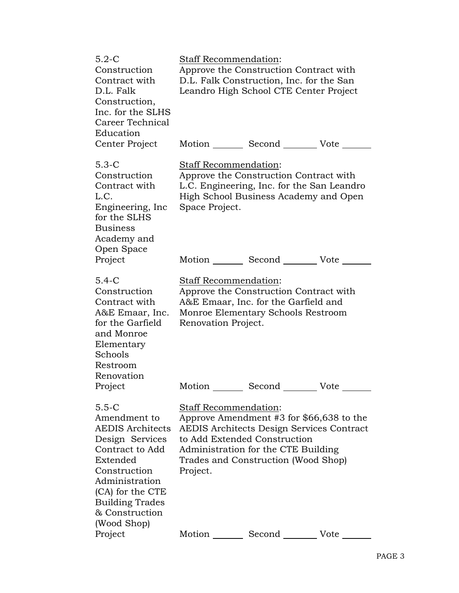| $5.2-C$<br>Construction<br>Contract with<br>D.L. Falk<br>Construction,<br>Inc. for the SLHS<br>Career Technical<br>Education                                                                                          | Staff Recommendation:                               | Approve the Construction Contract with<br>D.L. Falk Construction, Inc. for the San<br>Leandro High School CTE Center Project                                                                               |      |
|-----------------------------------------------------------------------------------------------------------------------------------------------------------------------------------------------------------------------|-----------------------------------------------------|------------------------------------------------------------------------------------------------------------------------------------------------------------------------------------------------------------|------|
| Center Project                                                                                                                                                                                                        |                                                     | Motion Second Vote                                                                                                                                                                                         |      |
| $5.3-C$<br>Construction<br>Contract with<br>L.C.<br>Engineering, Inc.<br>for the SLHS<br><b>Business</b><br>Academy and<br>Open Space                                                                                 | <b>Staff Recommendation:</b><br>Space Project.      | Approve the Construction Contract with<br>L.C. Engineering, Inc. for the San Leandro<br>High School Business Academy and Open                                                                              |      |
| Project                                                                                                                                                                                                               | Motion                                              | Second                                                                                                                                                                                                     | Vote |
| $5.4-C$<br>Construction<br>Contract with<br>A&E Emaar, Inc.<br>for the Garfield<br>and Monroe<br>Elementary<br>Schools<br>Restroom<br>Renovation                                                                      | <b>Staff Recommendation:</b><br>Renovation Project. | Approve the Construction Contract with<br>A&E Emaar, Inc. for the Garfield and<br>Monroe Elementary Schools Restroom                                                                                       |      |
| Project                                                                                                                                                                                                               | Motion                                              | Second                                                                                                                                                                                                     | Vote |
| $5.5-C$<br>Amendment to<br><b>AEDIS</b> Architects<br>Design Services<br>Contract to Add<br>Extended<br>Construction<br>Administration<br>(CA) for the CTE<br><b>Building Trades</b><br>& Construction<br>(Wood Shop) | <b>Staff Recommendation:</b><br>Project.            | Approve Amendment #3 for \$66,638 to the<br><b>AEDIS Architects Design Services Contract</b><br>to Add Extended Construction<br>Administration for the CTE Building<br>Trades and Construction (Wood Shop) |      |
| Project                                                                                                                                                                                                               | Motion                                              | Second                                                                                                                                                                                                     | Vote |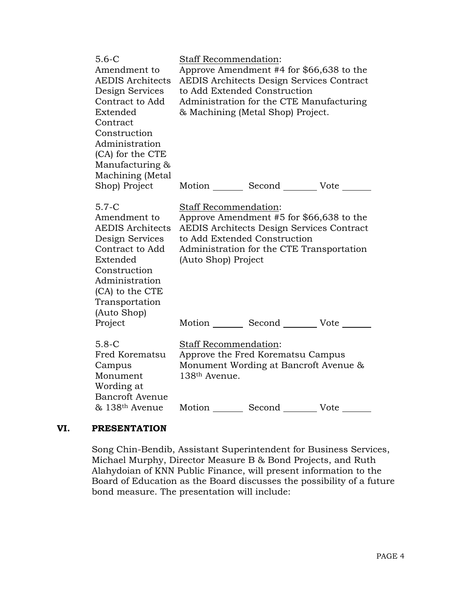| $5.6 - C$<br>Amendment to<br><b>AEDIS Architects</b><br>Design Services<br>Contract to Add<br>Extended<br>Contract<br>Construction<br>Administration<br>(CA) for the CTE<br>Manufacturing &<br>Machining (Metal | Staff Recommendation:                                                                                                                                                                                                     | Approve Amendment #4 for \$66,638 to the<br><b>AEDIS Architects Design Services Contract</b><br>to Add Extended Construction<br>Administration for the CTE Manufacturing<br>& Machining (Metal Shop) Project. |  |
|-----------------------------------------------------------------------------------------------------------------------------------------------------------------------------------------------------------------|---------------------------------------------------------------------------------------------------------------------------------------------------------------------------------------------------------------------------|---------------------------------------------------------------------------------------------------------------------------------------------------------------------------------------------------------------|--|
| Shop) Project                                                                                                                                                                                                   |                                                                                                                                                                                                                           | Motion _________ Second _________ Vote ______                                                                                                                                                                 |  |
| $5.7-C$<br>Amendment to<br><b>AEDIS Architects</b><br>Design Services<br>Contract to Add<br>Extended<br>Construction<br>Administration<br>(CA) to the CTE<br>Transportation<br>(Auto Shop)                      | Staff Recommendation:<br>Approve Amendment #5 for \$66,638 to the<br><b>AEDIS Architects Design Services Contract</b><br>to Add Extended Construction<br>Administration for the CTE Transportation<br>(Auto Shop) Project |                                                                                                                                                                                                               |  |
| Project                                                                                                                                                                                                         |                                                                                                                                                                                                                           | Motion _________ Second _________ Vote _______                                                                                                                                                                |  |
| $5.8 - C$<br>Fred Korematsu<br>Campus<br>Monument<br>Wording at<br><b>Bancroft Avenue</b>                                                                                                                       | Staff Recommendation:<br>Approve the Fred Korematsu Campus<br>Monument Wording at Bancroft Avenue &<br>138th Avenue.                                                                                                      |                                                                                                                                                                                                               |  |
| & 138th Avenue                                                                                                                                                                                                  |                                                                                                                                                                                                                           | Motion Second Vote                                                                                                                                                                                            |  |

#### **VI. PRESENTATION**

Song Chin-Bendib, Assistant Superintendent for Business Services, Michael Murphy, Director Measure B & Bond Projects, and Ruth Alahydoian of KNN Public Finance, will present information to the Board of Education as the Board discusses the possibility of a future bond measure. The presentation will include: